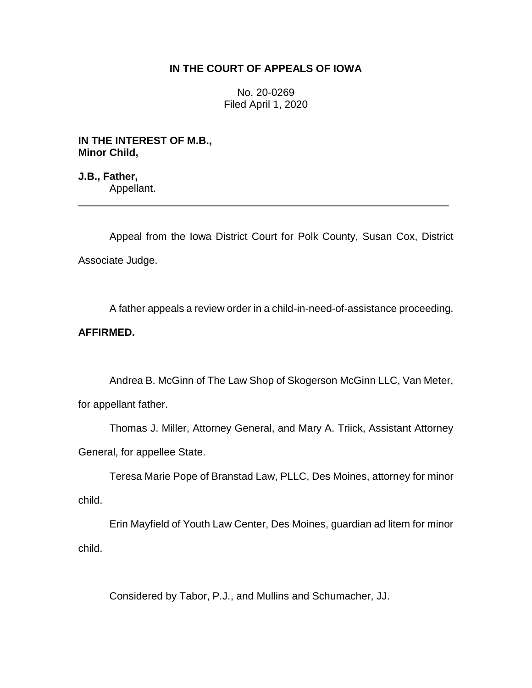## **IN THE COURT OF APPEALS OF IOWA**

No. 20-0269 Filed April 1, 2020

**IN THE INTEREST OF M.B., Minor Child,**

**J.B., Father,** Appellant. \_\_\_\_\_\_\_\_\_\_\_\_\_\_\_\_\_\_\_\_\_\_\_\_\_\_\_\_\_\_\_\_\_\_\_\_\_\_\_\_\_\_\_\_\_\_\_\_\_\_\_\_\_\_\_\_\_\_\_\_\_\_\_\_

Appeal from the Iowa District Court for Polk County, Susan Cox, District Associate Judge.

A father appeals a review order in a child-in-need-of-assistance proceeding.

## **AFFIRMED.**

Andrea B. McGinn of The Law Shop of Skogerson McGinn LLC, Van Meter, for appellant father.

Thomas J. Miller, Attorney General, and Mary A. Triick, Assistant Attorney General, for appellee State.

Teresa Marie Pope of Branstad Law, PLLC, Des Moines, attorney for minor child.

Erin Mayfield of Youth Law Center, Des Moines, guardian ad litem for minor child.

Considered by Tabor, P.J., and Mullins and Schumacher, JJ.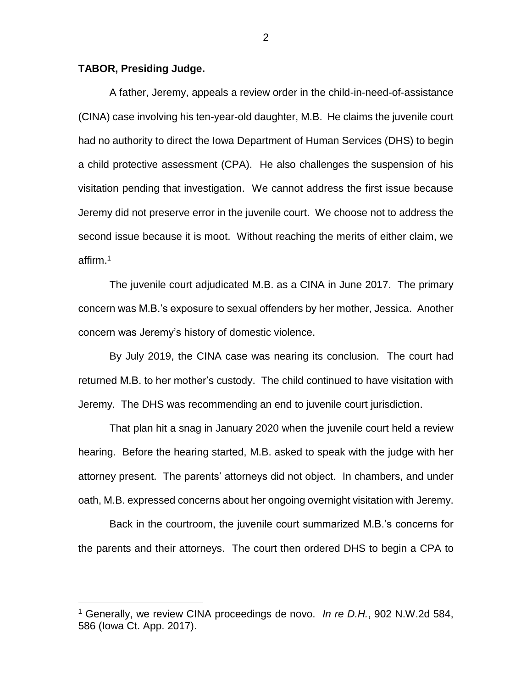## **TABOR, Presiding Judge.**

 $\overline{a}$ 

A father, Jeremy, appeals a review order in the child-in-need-of-assistance (CINA) case involving his ten-year-old daughter, M.B. He claims the juvenile court had no authority to direct the Iowa Department of Human Services (DHS) to begin a child protective assessment (CPA). He also challenges the suspension of his visitation pending that investigation. We cannot address the first issue because Jeremy did not preserve error in the juvenile court. We choose not to address the second issue because it is moot. Without reaching the merits of either claim, we affirm.<sup>1</sup>

The juvenile court adjudicated M.B. as a CINA in June 2017. The primary concern was M.B.'s exposure to sexual offenders by her mother, Jessica. Another concern was Jeremy's history of domestic violence.

By July 2019, the CINA case was nearing its conclusion. The court had returned M.B. to her mother's custody. The child continued to have visitation with Jeremy. The DHS was recommending an end to juvenile court jurisdiction.

That plan hit a snag in January 2020 when the juvenile court held a review hearing. Before the hearing started, M.B. asked to speak with the judge with her attorney present. The parents' attorneys did not object. In chambers, and under oath, M.B. expressed concerns about her ongoing overnight visitation with Jeremy.

Back in the courtroom, the juvenile court summarized M.B.'s concerns for the parents and their attorneys. The court then ordered DHS to begin a CPA to

<sup>1</sup> Generally, we review CINA proceedings de novo. *In re D.H.*, 902 N.W.2d 584, 586 (Iowa Ct. App. 2017).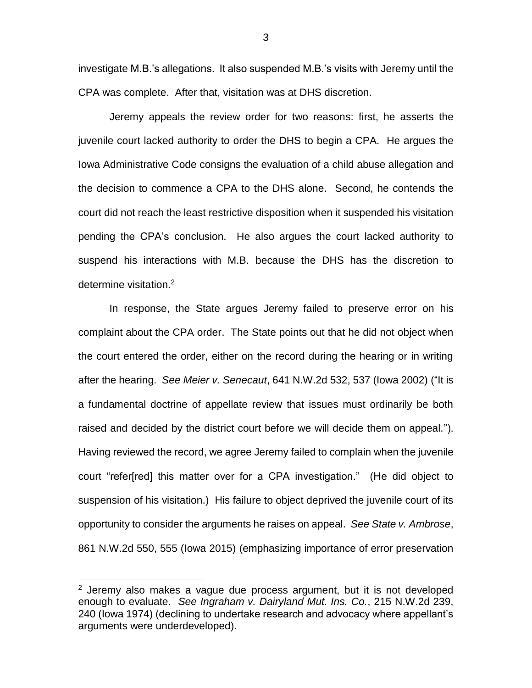investigate M.B.'s allegations. It also suspended M.B.'s visits with Jeremy until the CPA was complete. After that, visitation was at DHS discretion.

Jeremy appeals the review order for two reasons: first, he asserts the juvenile court lacked authority to order the DHS to begin a CPA. He argues the Iowa Administrative Code consigns the evaluation of a child abuse allegation and the decision to commence a CPA to the DHS alone. Second, he contends the court did not reach the least restrictive disposition when it suspended his visitation pending the CPA's conclusion. He also argues the court lacked authority to suspend his interactions with M.B. because the DHS has the discretion to determine visitation.<sup>2</sup>

In response, the State argues Jeremy failed to preserve error on his complaint about the CPA order. The State points out that he did not object when the court entered the order, either on the record during the hearing or in writing after the hearing. *See Meier v. Senecaut*, 641 N.W.2d 532, 537 (Iowa 2002) ("It is a fundamental doctrine of appellate review that issues must ordinarily be both raised and decided by the district court before we will decide them on appeal."). Having reviewed the record, we agree Jeremy failed to complain when the juvenile court "refer[red] this matter over for a CPA investigation." (He did object to suspension of his visitation.) His failure to object deprived the juvenile court of its opportunity to consider the arguments he raises on appeal. *See State v. Ambrose*, 861 N.W.2d 550, 555 (Iowa 2015) (emphasizing importance of error preservation

 $\overline{a}$ 

 $2$  Jeremy also makes a vague due process argument, but it is not developed enough to evaluate. *See Ingraham v. Dairyland Mut. Ins. Co.*, 215 N.W.2d 239, 240 (Iowa 1974) (declining to undertake research and advocacy where appellant's arguments were underdeveloped).